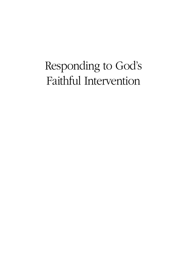### Responding to God's Faithful Intervention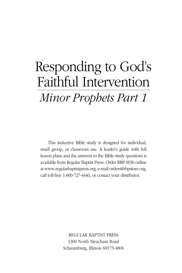## Responding to God's Faithful Intervention Minor Prophets Part 1

This inductive Bible study is designed for individual, small group, or classroom use. A leader's guide with full lesson plans and the answers to the Bible study questions is available from Regular Baptist Press. Order RBP 0036 online at www.regularbaptistpress.org, e-mail orders@rbpstore.org, call toll-free 1-800-727-4440, or contact your distributor.

> REGULAR BAPTIST PRESS 1300 North Meacham Road Schaumburg, Illinois 60173-4806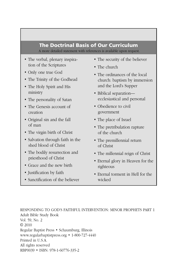#### **The Doctrinal Basis of Our Curriculum** A more detailed statement with references is available upon request.

- The verbal, plenary inspiration of the Scriptures
- Only one true God
- The Trinity of the Godhead
- The Holy Spirit and His ministry
- The personality of Satan
- The Genesis account of creation
- Original sin and the fall of man
- The virgin birth of Christ
- Salvation through faith in the shed blood of Christ
- The bodily resurrection and priesthood of Christ
- Grace and the new birth
- Justification by faith
- Sanctification of the believer
- The security of the believer
- The church
- The ordinances of the local church: baptism by immersion and the Lord's Supper
- Biblical separation ecclesiastical and personal
- Obedience to civil government
- The place of Israel
- The pretribulation rapture of the church
- The premillennial return of Christ
- The millennial reign of Christ
- Eternal glory in Heaven for the righteous
- Eternal torment in Hell for the wicked

RESPONDING TO GOD'S FAITHFUL INTERVENTION: MINOR PROPHETS PART 1 Adult Bible Study Book Vol. 59, No. 2 © 2010 Regular Baptist Press • Schaumburg, Illinois www.regularbaptistpress.org • 1-800-727-4440 Printed in U.S.A. All rights reserved RBP0039 • ISBN: 978-1-60776-335-2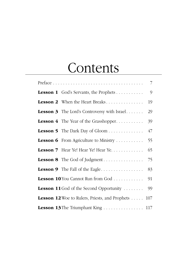## **Contents**

|                                                       | $\overline{7}$ |
|-------------------------------------------------------|----------------|
| <b>Lesson 1</b> God's Servants, the Prophets          | 9              |
| Lesson 2 When the Heart Breaks                        | 19             |
| <b>Lesson 3</b> The Lord's Controversy with Israel    | 29             |
| Lesson 4 The Year of the Grasshopper                  | 39             |
| <b>Lesson 5</b> The Dark Day of Gloom                 | 47             |
| Lesson 6 From Agriculture to Ministry                 | 55             |
| Lesson 7 Hear Ye! Hear Ye! Hear Ye.                   | 65             |
|                                                       | 75             |
| <b>Lesson 9</b> The Fall of the Eagle                 | 83             |
| Lesson 10 You Cannot Run from God                     | 91             |
| <b>Lesson 11</b> God of the Second Opportunity        | 99             |
| <b>Lesson 12</b> Woe to Rulers, Priests, and Prophets | 107            |
| Lesson 13 The Triumphant King  117                    |                |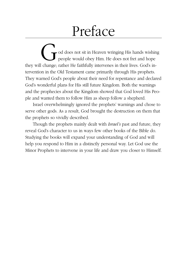# Preface

God does not sit in Heaven wringing His hands wishing people would obey Him. He does not fret and hope they will change; rather He faithfully intervenes in their lives. God's intervention in the Old Testament came primarily through His prophets. They warned God's people about their need for repentance and declared God's wonderful plans for His still future Kingdom. Both the warnings and the prophecies about the Kingdom showed that God loved His People and wanted them to follow Him as sheep follow a shepherd.

Israel overwhelmingly ignored the prophets' warnings and chose to serve other gods. As a result, God brought the destruction on them that the prophets so vividly described.

Though the prophets mainly dealt with *Israel's* past and future, they reveal God's character to us in ways few other books of the Bible do. Studying the books will expand your understanding of God and will help you respond to Him in a distinctly personal way. Let God use the Minor Prophets to intervene in your life and draw you closer to Himself.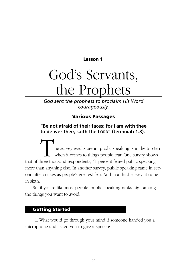**Lesson 1** 

## God's Servants, the Prophets

*God sent the prophets to proclaim His Word courageously.*

### **Various Passages**

### **"Be not afraid of their faces: for I am with thee to deliver thee, saith the LORD" (Jeremiah 1:8).**

The survey results are in: public speaking is in the top ten when it comes to things people fear. One survey shows that of three thousand respondents, 41 percent feared public speaking more than anything else. In another survey, public speaking came in second after snakes as people's greatest fear. And in a third survey, it came in sixth.

So, if you're like most people, public speaking ranks high among the things you want to avoid.

### **Getting Started**

 1. What would go through your mind if someone handed you a microphone and asked you to give a speech?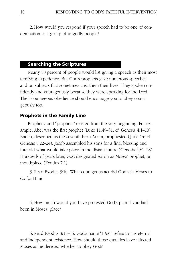2. How would you respond if your speech had to be one of condemnation to a group of ungodly people?

#### **Searching the Scriptures**

Nearly 50 percent of people would list giving a speech as their most terrifying experience. But God's prophets gave numerous speeches and on subjects that sometimes cost them their lives. They spoke confidently and courageously because they were speaking for the Lord. Their courageous obedience should encourage you to obey courageously too.

#### **Prophets in the Family Line**

Prophecy and "prophets" existed from the very beginning. For example, Abel was the first prophet (Luke  $11:49-51$ ; cf. Genesis  $4:1-10$ ). Enoch, described as the seventh from Adam, prophesied (Jude 14; cf. Genesis 5:22–24). Jacob assembled his sons for a final blessing and foretold what would take place in the distant future (Genesis 49:1–28). Hundreds of years later, God designated Aaron as Moses' prophet, or mouthpiece (Exodus 7:1).

 3. Read Exodus 3:10. What courageous act did God ask Moses to do for Him?

 4. How much would you have protested God's plan if you had been in Moses' place?

 5. Read Exodus 3:13–15. God's name "I AM" refers to His eternal and independent existence. How should those qualities have affected Moses as he decided whether to obey God?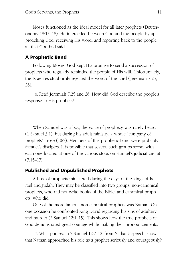Moses functioned as the ideal model for all later prophets (Deuteronomy 18:15–18). He interceded between God and the people by approaching God, receiving His word, and reporting back to the people all that God had said.

#### **A Prophetic Band**

Following Moses, God kept His promise to send a succession of prophets who regularly reminded the people of His will. Unfortunately, the Israelites stubbornly rejected the word of the Lord (Jeremiah 7:25, 26).

 6. Read Jeremiah 7:25 and 26. How did God describe the people's response to His prophets?

When Samuel was a boy, the voice of prophecy was rarely heard (1 Samuel 3:1); but during his adult ministry, a whole "company of prophets" arose (10:5). Members of this prophetic band were probably Samuel's disciples. It is possible that several such groups arose, with each one located at one of the various stops on Samuel's judicial circuit  $(7:15-17)$ .

#### **Published and Unpublished Prophets**

A host of prophets ministered during the days of the kings of Israel and Judah. They may be classified into two groups: non-canonical prophets, who did not write books of the Bible, and canonical prophets, who did.

One of the more famous non-canonical prophets was Nathan. On one occasion he confronted King David regarding his sins of adultery and murder (2 Samuel 12:1–15). This shows how the true prophets of God demonstrated great courage while making their pronouncements.

 7. What phrases in 2 Samuel 12:7–12, from Nathan's speech, show that Nathan approached his role as a prophet seriously and courageously?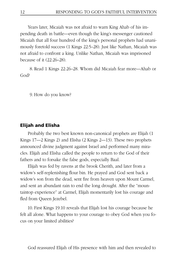Years later, Micaiah was not afraid to warn King Ahab of his impending death in battle—even though the king's messenger cautioned Micaiah that all four hundred of the king's personal prophets had unanimously foretold success (1 Kings 22:5–28). Just like Nathan, Micaiah was not afraid to confront a king. Unlike Nathan, Micaiah was imprisoned because of it (22:26–28).

 8. Read 1 Kings 22:26–28. Whom did Micaiah fear more—Ahab or God?

9. How do you know?

#### **Elijah and Elisha**

Probably the two best known non-canonical prophets are Elijah (1 Kings 17—2 Kings 2) and Elisha (2 Kings 2—13). These two prophets announced divine judgment against Israel and performed many miracles. Elijah and Elisha called the people to return to the God of their fathers and to forsake the false gods, especially Baal.

Elijah was fed by ravens at the brook Cherith, and later from a widow's self-replenishing flour bin. He prayed and God sent back a widow's son from the dead, sent fire from heaven upon Mount Carmel, and sent an abundant rain to end the long drought. After the "mountaintop experience" at Carmel, Elijah momentarily lost his courage and fled from Queen Jezebel.

 10. First Kings 19:10 reveals that Elijah lost his courage because he felt all alone. What happens to your courage to obey God when you focus on your limited abilities?

God reassured Elijah of His presence with him and then revealed to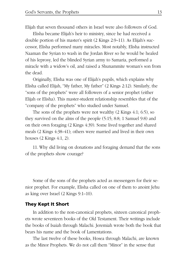Elijah that seven thousand others in Israel were also followers of God.

Elisha became Elijah's heir to ministry, since he had received a double portion of his master's spirit (2 Kings 2:9–11). As Elijah's successor, Elisha performed many miracles. Most notably, Elisha instructed Naaman the Syrian to wash in the Jordan River so he would be healed of his leprosy, led the blinded Syrian army to Samaria, performed a miracle with a widow's oil, and raised a Shunammite woman's son from the dead.

Originally, Elisha was one of Elijah's pupils, which explains why Elisha called Elijah, "My father, My father" (2 Kings 2:12). Similarly, the "sons of the prophets" were all followers of a senior prophet (either Elijah or Elisha). This master-student relationship resembles that of the "company of the prophets" who studied under Samuel.

The sons of the prophets were not wealthy (2 Kings 4:1; 6:5), so they survived on the alms of the people (5:15; 8:8; 1 Samuel 9:8) and on their own foraging (2 Kings 4:39). Some lived together and shared meals (2 Kings 4:38–41); others were married and lived in their own houses (2 Kings 4:1, 2).

 11. Why did living on donations and foraging demand that the sons of the prophets show courage?

Some of the sons of the prophets acted as messengers for their senior prophet. For example, Elisha called on one of them to anoint Jehu as king over Israel (2 Kings 9:1–10).

#### **They Kept It Short**

In addition to the non-canonical prophets, sixteen canonical prophets wrote seventeen books of the Old Testament. Their writings include the books of Isaiah through Malachi. Jeremiah wrote both the book that bears his name and the book of Lamentations.

The last twelve of these books, Hosea through Malachi, are known as the Minor Prophets. We do not call them "Minor" in the sense that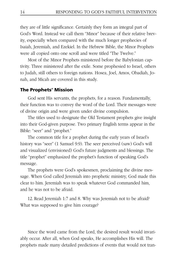they are of little significance. Certainly they form an integral part of God's Word. Instead we call them "Minor" because of their relative brevity, especially when compared with the much longer prophecies of Isaiah, Jeremiah, and Ezekiel. In the Hebrew Bible, the Minor Prophets were all copied onto one scroll and were titled "The Twelve."

Most of the Minor Prophets ministered before the Babylonian captivity. Three ministered after the exile. Some prophesied to Israel, others to Judah, still others to foreign nations. Hosea, Joel, Amos, Obadiah, Jonah, and Micah are covered in this study.

#### **The Prophets' Mission**

God sent His servants, the prophets, for a reason. Fundamentally, their function was to convey the word of the Lord. Their messages were of divine origin and were given under divine compulsion.

The titles used to designate the Old Testament prophets give insight into their God-given purpose. Two primary English terms appear in the Bible: "seer" and "prophet."

The common title for a prophet during the early years of Israel's history was "seer" (1 Samuel 9:9). The seer perceived (saw) God's will and visualized (envisioned) God's future judgments and blessings. The title "prophet" emphasized the prophet's function of speaking God's message.

The prophets were God's spokesmen, proclaiming the divine message. When God called Jeremiah into prophetic ministry, God made this clear to him. Jeremiah was to speak whatever God commanded him, and he was not to be afraid.

 12. Read Jeremiah 1:7 and 8. Why was Jeremiah not to be afraid? What was supposed to give him courage?

Since the word came from the Lord, the desired result would invariably occur. After all, when God speaks, He accomplishes His will. The prophets made many detailed predictions of events that would not tran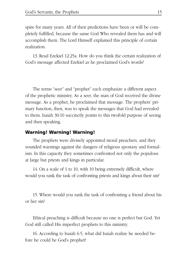spire for many years. All of their predictions have been or will be completely fulfilled, because the same God Who revealed them has and will accomplish them. The Lord Himself explained this principle of certain realization.

 13. Read Ezekiel 12:25a. How do you think the certain realization of God's message affected Ezekiel as he proclaimed God's words?

The terms "seer" and "prophet" each emphasize a different aspect of the prophetic ministry. As a seer, the man of God received the divine message. As a prophet, he proclaimed that message. The prophets' primary function, then, was to speak the messages that God had revealed to them. Isaiah 30:10 succinctly points to this twofold purpose of seeing and then speaking.

#### **Warning! Warning! Warning!**

The prophets were divinely appointed moral preachers, and they sounded warnings against the dangers of religious apostasy and formalism. In this capacity they sometimes confronted not only the populous at large but priests and kings in particular.

14. On a scale of 1 to 10, with 10 being extremely difficult, where would you rank the task of confronting priests and kings about their sin?

 15. Where would you rank the task of confronting a friend about his or her sin?

Ethical preaching is difficult because no one is perfect but God. Yet God still called His imperfect prophets to this ministry.

 16. According to Isaiah 6:5, what did Isaiah realize he needed before he could be God's prophet?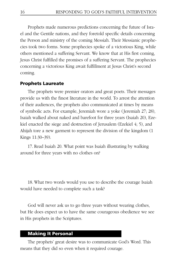Prophets made numerous predictions concerning the future of Israel and the Gentile nations, and they foretold specific details concerning the Person and ministry of the coming Messiah. Their Messianic prophecies took two forms. Some prophecies spoke of a victorious King, while others mentioned a suffering Servant. We know that at His first coming, Jesus Christ fulfilled the promises of a suffering Servant. The prophecies concerning a victorious King await fulfillment at Jesus Christ's second coming.

#### **Prophets Laureate**

The prophets were premier orators and great poets. Their messages provide us with the finest literature in the world. To arrest the attention of their audiences, the prophets also communicated at times by means of symbolic acts. For example, Jeremiah wore a yoke (Jeremiah 27; 28), Isaiah walked about naked and barefoot for three years (Isaiah 20), Ezekiel enacted the siege and destruction of Jerusalem (Ezekiel 4; 5), and Ahijah tore a new garment to represent the division of the kingdom (1 Kings 11:30–39).

 17. Read Isaiah 20. What point was Isaiah illustrating by walking around for three years with no clothes on?

 18. What two words would you use to describe the courage Isaiah would have needed to complete such a task?

God will never ask us to go three years without wearing clothes, but He does expect us to have the same courageous obedience we see in His prophets in the Scriptures.

#### **Making It Personal**

The prophets' great desire was to communicate God's Word. This means that they did so even when it required courage.